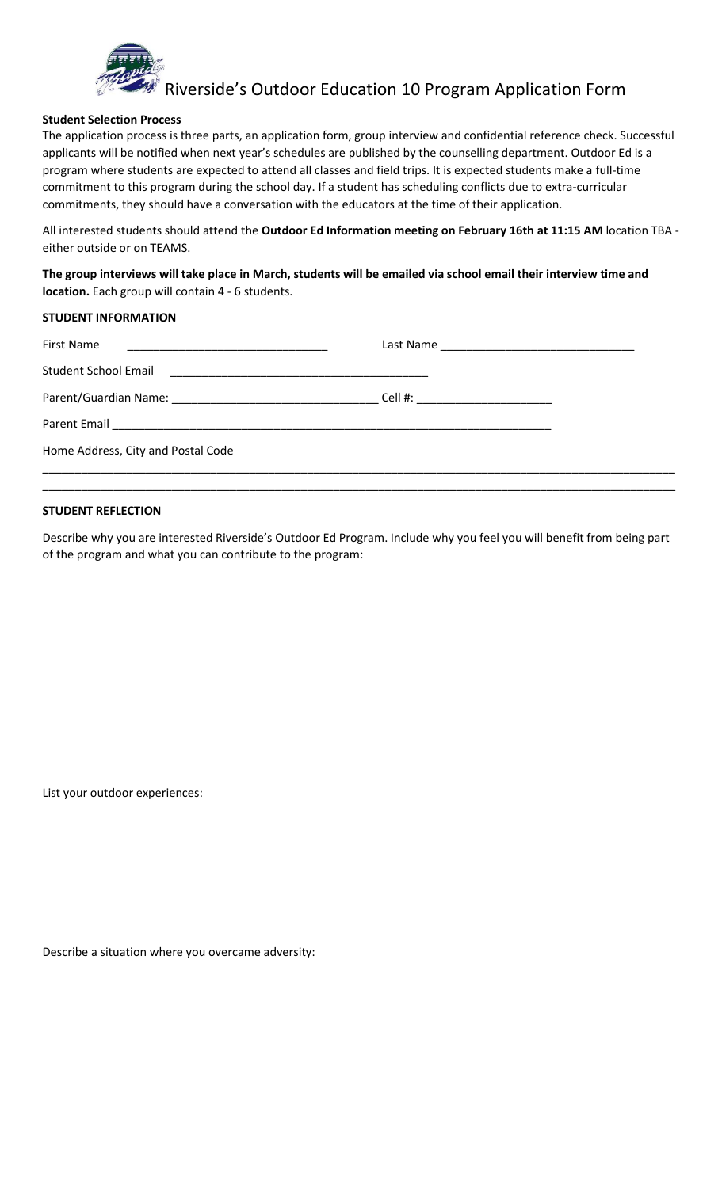

Riverside's Outdoor Education 10 Program Application Form

#### **Student Selection Process**

The application process is three parts, an application form, group interview and confidential reference check. Successful applicants will be notified when next year's schedules are published by the counselling department. Outdoor Ed is a program where students are expected to attend all classes and field trips. It is expected students make a full-time commitment to this program during the school day. If a student has scheduling conflicts due to extra-curricular commitments, they should have a conversation with the educators at the time of their application.

All interested students should attend the **Outdoor Ed Information meeting on February 16th at 11:15 AM** location TBA either outside or on TEAMS.

**The group interviews will take place in March, students will be emailed via school email their interview time and location.** Each group will contain 4 - 6 students.

### **STUDENT INFORMATION**

| <b>First Name</b><br><u> 1989 - Johann John Stone, mars et al. (1989)</u>                |                                   |
|------------------------------------------------------------------------------------------|-----------------------------------|
| <b>Student School Email</b><br><u> 1980 - Jan James James Barnett, fizik amerikan ba</u> |                                   |
|                                                                                          | Cell #: _________________________ |
|                                                                                          |                                   |
| Home Address, City and Postal Code                                                       |                                   |
|                                                                                          |                                   |

#### **STUDENT REFLECTION**

Describe why you are interested Riverside's Outdoor Ed Program. Include why you feel you will benefit from being part of the program and what you can contribute to the program:

List your outdoor experiences:

Describe a situation where you overcame adversity: